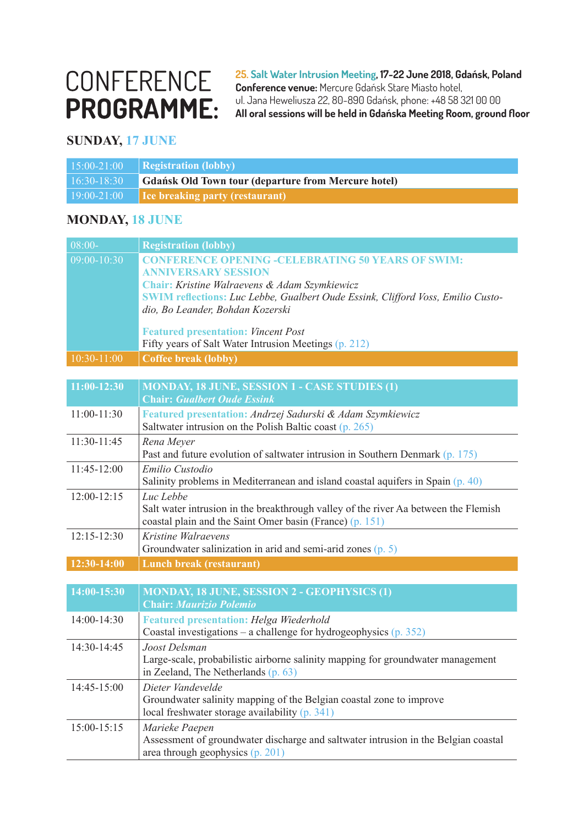# CONFERENCE **PROGRAMME:**

**25. Salt Water Intrusion Meeting, 17-22 June 2018, Gdańsk, Poland Conference venue:** Mercure Gdańsk Stare Miasto hotel, ul. Jana Heweliusza 22, 80-890 Gdańsk, phone: +48 58 321 00 00 **All oral sessions will be held in Gdańska Meeting Room, ground floor**

#### **SUNDAY, 17 JUNE**

| $15:00 - 21:00$ | Registration (lobby)                                       |
|-----------------|------------------------------------------------------------|
| $16:30-18:30$   | <b>Gdańsk Old Town tour (departure from Mercure hotel)</b> |
| $19:00 - 21:00$ | <b>Ice breaking party (restaurant)</b>                     |

#### **MONDAY, 18 JUNE**

| $08:00-$        | <b>Registration (lobby)</b>                                                                                                |
|-----------------|----------------------------------------------------------------------------------------------------------------------------|
| 09:00-10:30     | <b>CONFERENCE OPENING -CELEBRATING 50 YEARS OF SWIM:</b>                                                                   |
|                 | <b>ANNIVERSARY SESSION</b>                                                                                                 |
|                 | Chair: Kristine Walraevens & Adam Szymkiewicz                                                                              |
|                 | <b>SWIM reflections:</b> Luc Lebbe, Gualbert Oude Essink, Clifford Voss, Emilio Custo-<br>dio, Bo Leander, Bohdan Kozerski |
|                 |                                                                                                                            |
|                 | <b>Featured presentation: Vincent Post</b>                                                                                 |
|                 | Fifty years of Salt Water Intrusion Meetings (p. 212)                                                                      |
| 10:30-11:00     | <b>Coffee break (lobby)</b>                                                                                                |
|                 |                                                                                                                            |
| $11:00-12:30$   | <b>MONDAY, 18 JUNE, SESSION 1 - CASE STUDIES (1)</b>                                                                       |
|                 | <b>Chair: Gualbert Oude Essink</b>                                                                                         |
| 11:00-11:30     | Featured presentation: Andrzej Sadurski & Adam Szymkiewicz                                                                 |
|                 | Saltwater intrusion on the Polish Baltic coast $(p. 265)$                                                                  |
| 11:30-11:45     | Rena Meyer                                                                                                                 |
|                 | Past and future evolution of saltwater intrusion in Southern Denmark (p. 175)                                              |
| 11:45-12:00     | Emilio Custodio                                                                                                            |
|                 | Salinity problems in Mediterranean and island coastal aquifers in Spain (p. 40)                                            |
| $12:00 - 12:15$ | Luc Lebbe<br>Salt water intrusion in the breakthrough valley of the river Aa between the Flemish                           |
|                 | coastal plain and the Saint Omer basin (France) (p. 151)                                                                   |
| $12:15 - 12:30$ | Kristine Walraevens                                                                                                        |
|                 | Groundwater salinization in arid and semi-arid zones $(p. 5)$                                                              |
| 12:30-14:00     | Lunch break (restaurant)                                                                                                   |
|                 |                                                                                                                            |
| 14:00-15:30     | <b>MONDAY, 18 JUNE, SESSION 2 - GEOPHYSICS (1)</b>                                                                         |
|                 | <b>Chair: Maurizio Polemio</b>                                                                                             |
| 14:00-14:30     | <b>Featured presentation: Helga Wiederhold</b>                                                                             |
|                 | Coastal investigations – a challenge for hydrogeophysics $(p. 352)$                                                        |
| 14:30-14:45     | Joost Delsman                                                                                                              |
|                 | Large-scale, probabilistic airborne salinity mapping for groundwater management                                            |
|                 | in Zeeland, The Netherlands (p. 63)                                                                                        |
| 14:45-15:00     | Dieter Vandevelde                                                                                                          |
|                 | Groundwater salinity mapping of the Belgian coastal zone to improve                                                        |
|                 | local freshwater storage availability (p. 341)                                                                             |
| 15:00-15:15     | Marieke Paepen                                                                                                             |
|                 | Assessment of groundwater discharge and saltwater intrusion in the Belgian coastal                                         |
|                 | area through geophysics $(p. 201)$                                                                                         |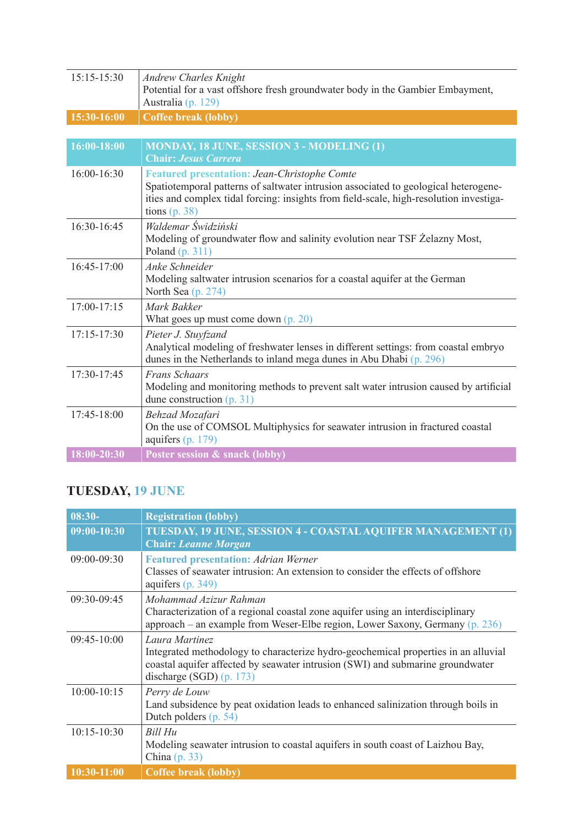| 15:15-15:30     | <b>Andrew Charles Knight</b><br>Potential for a vast offshore fresh groundwater body in the Gambier Embayment,<br>Australia (p. 129)                                                                                                                    |
|-----------------|---------------------------------------------------------------------------------------------------------------------------------------------------------------------------------------------------------------------------------------------------------|
| 15:30-16:00     | <b>Coffee break (lobby)</b>                                                                                                                                                                                                                             |
|                 |                                                                                                                                                                                                                                                         |
| $16:00 - 18:00$ | <b>MONDAY, 18 JUNE, SESSION 3 - MODELING (1)</b><br><b>Chair: Jesus Carrera</b>                                                                                                                                                                         |
| 16:00-16:30     | <b>Featured presentation: Jean-Christophe Comte</b><br>Spatiotemporal patterns of saltwater intrusion associated to geological heterogene-<br>ities and complex tidal forcing: insights from field-scale, high-resolution investiga-<br>tions $(p. 38)$ |
| 16:30-16:45     | Waldemar Świdziński<br>Modeling of groundwater flow and salinity evolution near TSF Żelazny Most,<br>Poland $(p. 311)$                                                                                                                                  |
| 16:45-17:00     | Anke Schneider<br>Modeling saltwater intrusion scenarios for a coastal aquifer at the German<br>North Sea (p. 274)                                                                                                                                      |
| $17:00 - 17:15$ | Mark Bakker<br>What goes up must come down $(p. 20)$                                                                                                                                                                                                    |
| $17:15 - 17:30$ | Pieter J. Stuyfzand<br>Analytical modeling of freshwater lenses in different settings: from coastal embryo<br>dunes in the Netherlands to inland mega dunes in Abu Dhabi (p. 296)                                                                       |
| 17:30-17:45     | <b>Frans Schaars</b><br>Modeling and monitoring methods to prevent salt water intrusion caused by artificial<br>dune construction $(p. 31)$                                                                                                             |
| 17:45-18:00     | Behzad Mozafari<br>On the use of COMSOL Multiphysics for seawater intrusion in fractured coastal<br>aquifers $(p. 179)$                                                                                                                                 |
| 18:00-20:30     | Poster session & snack (lobby)                                                                                                                                                                                                                          |

## **TUESDAY, 19 JUNE**

| $08:30-$        | <b>Registration (lobby)</b>                                                                                                                                                                                          |
|-----------------|----------------------------------------------------------------------------------------------------------------------------------------------------------------------------------------------------------------------|
| $09:00-10:30$   | TUESDAY, 19 JUNE, SESSION 4 - COASTAL AQUIFER MANAGEMENT (1)<br><b>Chair: Leanne Morgan</b>                                                                                                                          |
| 09:00-09:30     | <b>Featured presentation: Adrian Werner</b><br>Classes of seawater intrusion: An extension to consider the effects of offshore<br>aquifers $(p. 349)$                                                                |
| 09:30-09:45     | Mohammad Azizur Rahman<br>Characterization of a regional coastal zone aquifer using an interdisciplinary<br>approach – an example from Weser-Elbe region, Lower Saxony, Germany $(p. 236)$                           |
| $09:45-10:00$   | Laura Martinez<br>Integrated methodology to characterize hydro-geochemical properties in an alluvial<br>coastal aquifer affected by seawater intrusion (SWI) and submarine groundwater<br>discharge (SGD) $(p. 173)$ |
| $10:00 - 10:15$ | Perry de Louw<br>Land subsidence by peat oxidation leads to enhanced salinization through boils in<br>Dutch polders $(p. 54)$                                                                                        |
| $10:15 - 10:30$ | Bill Hu<br>Modeling seawater intrusion to coastal aquifers in south coast of Laizhou Bay,<br>China $(p. 33)$                                                                                                         |
| $10:30 - 11:00$ | <b>Coffee break (lobby)</b>                                                                                                                                                                                          |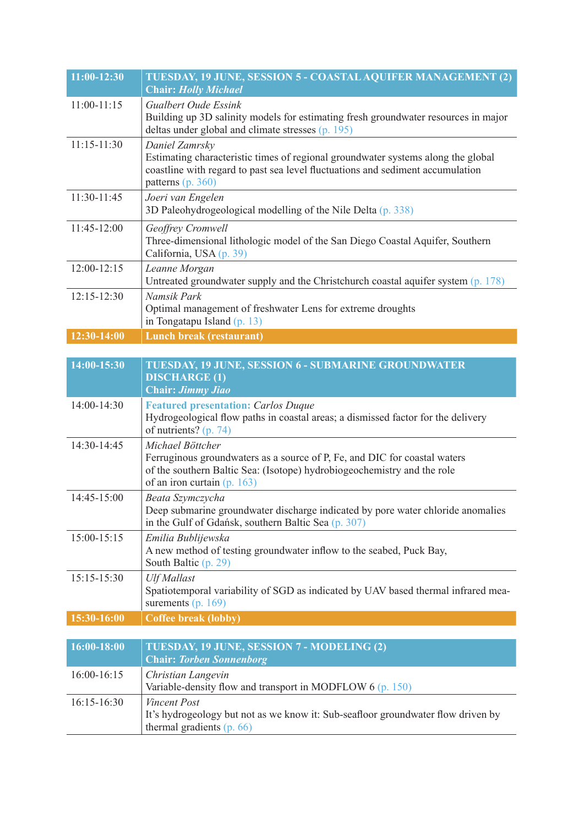| $11:00-12:30$   | <b>TUESDAY, 19 JUNE, SESSION 5 - COASTAL AQUIFER MANAGEMENT (2)</b><br><b>Chair: Holly Michael</b>                                                                                                        |
|-----------------|-----------------------------------------------------------------------------------------------------------------------------------------------------------------------------------------------------------|
| $11:00-11:15$   | Gualbert Oude Essink<br>Building up 3D salinity models for estimating fresh groundwater resources in major<br>deltas under global and climate stresses $(p. 195)$                                         |
| $11:15 - 11:30$ | Daniel Zamrsky<br>Estimating characteristic times of regional groundwater systems along the global<br>coastline with regard to past sea level fluctuations and sediment accumulation<br>patterns (p. 360) |
| 11:30-11:45     | Joeri van Engelen<br>3D Paleohydrogeological modelling of the Nile Delta (p. 338)                                                                                                                         |
| $11:45-12:00$   | Geoffrey Cromwell<br>Three-dimensional lithologic model of the San Diego Coastal Aquifer, Southern<br>California, USA (p. 39)                                                                             |
| $12:00 - 12:15$ | Leanne Morgan<br>Untreated groundwater supply and the Christchurch coastal aquifer system (p. 178)                                                                                                        |
| $12:15 - 12:30$ | Namsik Park<br>Optimal management of freshwater Lens for extreme droughts<br>in Tongatapu Island (p. 13)                                                                                                  |
| 12:30-14:00     | Lunch break (restaurant)                                                                                                                                                                                  |
| 14:00-15:30     | TUESDAY, 19 JUNE, SESSION 6 - SUBMARINE GROUNDWATER                                                                                                                                                       |
|                 | <b>DISCHARGE (1)</b><br><b>Chair: Jimmy Jiao</b>                                                                                                                                                          |
| 14:00-14:30     | <b>Featured presentation: Carlos Duque</b><br>Hydrogeological flow paths in coastal areas; a dismissed factor for the delivery<br>of nutrients? (p. 74)                                                   |
| 14:30-14:45     | Michael Böttcher<br>Ferruginous groundwaters as a source of P, Fe, and DIC for coastal waters<br>of the southern Baltic Sea: (Isotope) hydrobiogeochemistry and the role<br>of an iron curtain $(p. 163)$ |
| 14:45-15:00     | Beata Szymczycha<br>Deep submarine groundwater discharge indicated by pore water chloride anomalies<br>in the Gulf of Gdańsk, southern Baltic Sea (p. 307)                                                |
| 15:00-15:15     | Emilia Bublijewska<br>A new method of testing groundwater inflow to the seabed, Puck Bay,<br>South Baltic (p. 29)                                                                                         |
| 15:15-15:30     | <b>Ulf Mallast</b><br>Spatiotemporal variability of SGD as indicated by UAV based thermal infrared mea-<br>surements $(p. 169)$                                                                           |
| 15:30-16:00     | <b>Coffee break (lobby)</b>                                                                                                                                                                               |
| 16:00-18:00     | TUESDAY, 19 JUNE, SESSION 7 - MODELING (2)<br><b>Chair: Torben Sonnenborg</b>                                                                                                                             |
| 16:00-16:15     | Christian Langevin<br>Variable-density flow and transport in MODFLOW $6$ (p. 150)                                                                                                                         |
| 16:15-16:30     | <b>Vincent Post</b><br>It's hydrogeology but not as we know it: Sub-seafloor groundwater flow driven by<br>thermal gradients $(p. 66)$                                                                    |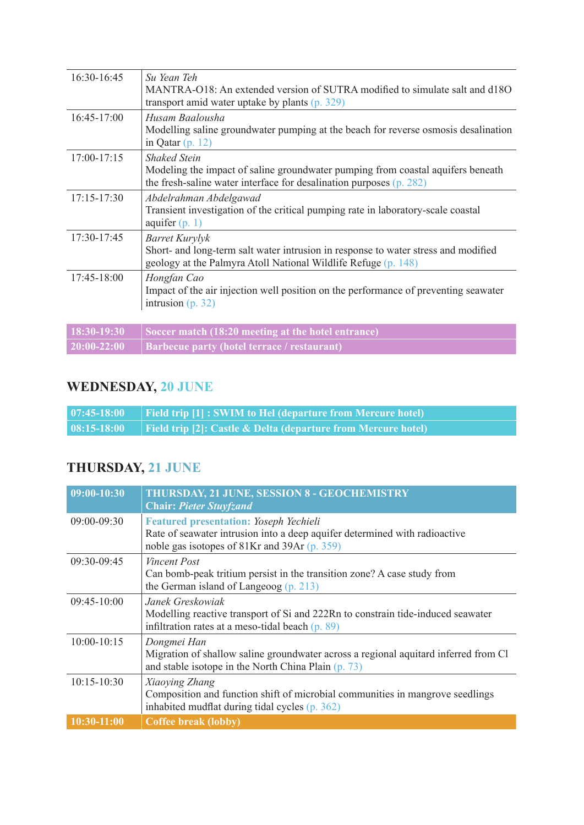| 16:30-16:45     | Su Yean Teh<br>MANTRA-O18: An extended version of SUTRA modified to simulate salt and d18O<br>transport amid water uptake by plants $(p. 329)$                                |
|-----------------|-------------------------------------------------------------------------------------------------------------------------------------------------------------------------------|
| 16:45-17:00     | Husam Baalousha<br>Modelling saline groundwater pumping at the beach for reverse osmosis desalination<br>in Qatar $(p. 12)$                                                   |
| $17:00 - 17:15$ | <b>Shaked Stein</b><br>Modeling the impact of saline groundwater pumping from coastal aquifers beneath<br>the fresh-saline water interface for desalination purposes (p. 282) |
| $17:15 - 17:30$ | Abdelrahman Abdelgawad<br>Transient investigation of the critical pumping rate in laboratory-scale coastal<br>aquifer $(p. 1)$                                                |
| $17:30-17:45$   | Barret Kurylyk<br>Short- and long-term salt water intrusion in response to water stress and modified<br>geology at the Palmyra Atoll National Wildlife Refuge (p. 148)        |
| $17:45 - 18:00$ | Hongfan Cao<br>Impact of the air injection well position on the performance of preventing seawater<br>intrusion $(p. 32)$                                                     |
| 18:30-19:30     | Soccer match (18:20 meeting at the hotel entrance)                                                                                                                            |

## **WEDNESDAY, 20 JUNE**

**20:00-22:00 Barbecue party (hotel terrace / restaurant)**

| $  07:45-18:00$ | $\Box$ Field trip $[1]$ : SWIM to Hel (departure from Mercure hotel)     |
|-----------------|--------------------------------------------------------------------------|
| $ 08:15-18:00 $ | <b>Field trip [2]: Castle &amp; Delta (departure from Mercure hotel)</b> |

## **THURSDAY, 21 JUNE**

| $09:00-10:30$   | <b>THURSDAY, 21 JUNE, SESSION 8 - GEOCHEMISTRY</b><br><b>Chair: Pieter Stuyfzand</b>                                        |
|-----------------|-----------------------------------------------------------------------------------------------------------------------------|
| 09:00-09:30     | <b>Featured presentation: Yoseph Yechieli</b><br>Rate of seawater intrusion into a deep aquifer determined with radioactive |
|                 | noble gas isotopes of 81Kr and 39Ar (p. 359)                                                                                |
| 09:30-09:45     | Vincent Post                                                                                                                |
|                 | Can bomb-peak tritium persist in the transition zone? A case study from                                                     |
|                 | the German island of Langeoog $(p. 213)$                                                                                    |
| $09:45-10:00$   | Janek Greskowiak                                                                                                            |
|                 | Modelling reactive transport of Si and 222Rn to constrain tide-induced seawater                                             |
|                 | infiltration rates at a meso-tidal beach $(p. 89)$                                                                          |
| $10:00 - 10:15$ | Dongmei Han                                                                                                                 |
|                 | Migration of shallow saline groundwater across a regional aquitard inferred from Cl                                         |
|                 | and stable isotope in the North China Plain (p. 73)                                                                         |
| $10:15 - 10:30$ | Xiaoying Zhang                                                                                                              |
|                 | Composition and function shift of microbial communities in mangrove seedlings                                               |
|                 | inhabited mudflat during tidal cycles (p. 362)                                                                              |
| 10:30-11:00     | <b>Coffee break (lobby)</b>                                                                                                 |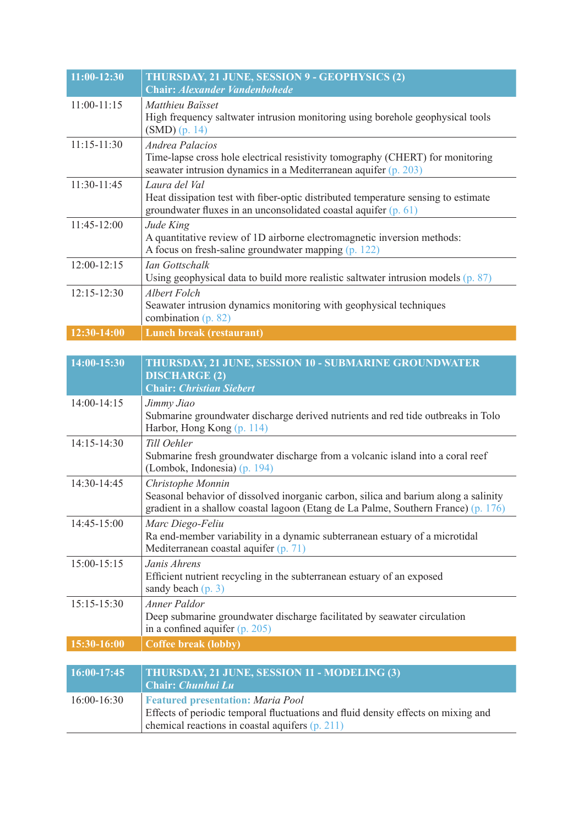| $11:00-12:30$   | THURSDAY, 21 JUNE, SESSION 9 - GEOPHYSICS (2)<br><b>Chair: Alexander Vandenbohede</b>                                                                                       |
|-----------------|-----------------------------------------------------------------------------------------------------------------------------------------------------------------------------|
| $11:00-11:15$   | Matthieu Baïsset<br>High frequency saltwater intrusion monitoring using borehole geophysical tools<br>$(SMD)$ (p. 14)                                                       |
| $11:15 - 11:30$ | <b>Andrea Palacios</b><br>Time-lapse cross hole electrical resistivity tomography (CHERT) for monitoring<br>seawater intrusion dynamics in a Mediterranean aquifer (p. 203) |
| 11:30-11:45     | Laura del Val<br>Heat dissipation test with fiber-optic distributed temperature sensing to estimate<br>groundwater fluxes in an unconsolidated coastal aquifer (p. 61)      |
| 11:45-12:00     | Jude King<br>A quantitative review of 1D airborne electromagnetic inversion methods:<br>A focus on fresh-saline groundwater mapping (p. 122)                                |
| $12:00-12:15$   | <b>Ian Gottschalk</b><br>Using geophysical data to build more realistic saltwater intrusion models (p. 87)                                                                  |
| $12:15 - 12:30$ | Albert Folch<br>Seawater intrusion dynamics monitoring with geophysical techniques<br>combination $(p. 82)$                                                                 |
| $12:30 - 14:00$ | <b>Lunch break (restaurant)</b>                                                                                                                                             |
|                 |                                                                                                                                                                             |
| 14:00-15:30     | THURSDAY, 21 JUNE, SESSION 10 - SUBMARINE GROUNDWATER<br><b>DISCHARGE (2)</b><br><b>Chair: Christian Siebert</b>                                                            |
| $14:00 - 14:15$ | Jimmy Jiao<br>Submarine groundwater discharge derived nutrients and red tide outbreaks in Tolo<br>Harbor, Hong Kong (p. 114)                                                |
| $14:15 - 14:30$ | Till Oehler<br>Submarine fresh groundwater discharge from a volcanic island into a coral reef                                                                               |

|                 | Submarine fresh groundwater discharge from a volcanic island into a coral reef<br>(Lombok, Indonesia) (p. 194)                                                                                 |
|-----------------|------------------------------------------------------------------------------------------------------------------------------------------------------------------------------------------------|
| 14:30-14:45     | Christophe Monnin<br>Seasonal behavior of dissolved inorganic carbon, silica and barium along a salinity<br>gradient in a shallow coastal lagoon (Etang de La Palme, Southern France) (p. 176) |
| $14:45 - 15:00$ | Marc Diego-Feliu<br>Ra end-member variability in a dynamic subterranean estuary of a microtidal<br>Mediterranean coastal aquifer (p. 71)                                                       |
| $15:00-15:15$   | Janis Ahrens<br>Efficient nutrient recycling in the subterranean estuary of an exposed<br>sandy beach $(p. 3)$                                                                                 |
| 15:15-15:30     | Anner Paldor<br>Deep submarine groundwater discharge facilitated by seawater circulation<br>in a confined aquifer $(p. 205)$                                                                   |
| 15:30-16:00     | <b>Coffee break (lobby)</b>                                                                                                                                                                    |
|                 |                                                                                                                                                                                                |
| 16:00-17:45     | THURSDAY, 21 JUNE, SESSION 11 - MODELING (3)<br><b>Chair: Chunhui Lu</b>                                                                                                                       |
| $16:00 - 16:30$ | <b>Featured presentation: Maria Pool</b>                                                                                                                                                       |

chemical reactions in coastal aquifers (p. 211)

Effects of periodic temporal fluctuations and fluid density effects on mixing and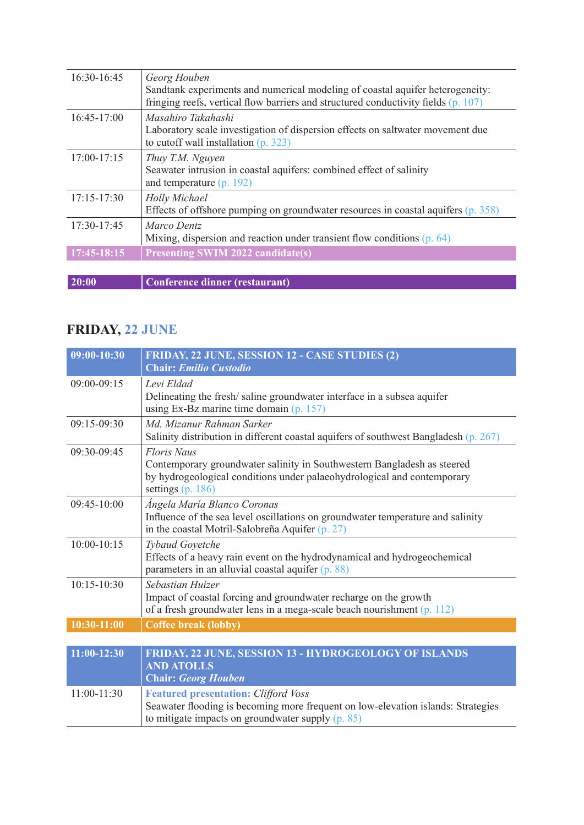| Effects of offshore pumping on groundwater resources in coastal aquifers (p. 358)                                                                                   |
|---------------------------------------------------------------------------------------------------------------------------------------------------------------------|
|                                                                                                                                                                     |
| Laboratory scale investigation of dispersion effects on saltwater movement due                                                                                      |
| Sandtank experiments and numerical modeling of coastal aquifer heterogeneity:<br>fringing reefs, vertical flow barriers and structured conductivity fields (p. 107) |
|                                                                                                                                                                     |

## **FRIDAY, 22 JUNE**

| $09:00 - 10:30$ | FRIDAY, 22 JUNE, SESSION 12 - CASE STUDIES (2)<br><b>Chair: Emilio Custodio</b>                                                                                                                 |
|-----------------|-------------------------------------------------------------------------------------------------------------------------------------------------------------------------------------------------|
| $09:00 - 09:15$ | Levi Eldad<br>Delineating the fresh/saline groundwater interface in a subsea aquifer<br>using Ex-Bz marine time domain $(p. 157)$                                                               |
| $09:15-09:30$   | Md. Mizanur Rahman Sarker<br>Salinity distribution in different coastal aquifers of southwest Bangladesh (p. 267)                                                                               |
| $09:30-09:45$   | <b>Floris Naus</b><br>Contemporary groundwater salinity in Southwestern Bangladesh as steered<br>by hydrogeological conditions under palaeohydrological and contemporary<br>settings $(p. 186)$ |
| $09:45-10:00$   | Ángela María Blanco Coronas<br>Influence of the sea level oscillations on groundwater temperature and salinity<br>in the coastal Motril-Salobreña Aquifer (p. 27)                               |
| $10:00 - 10:15$ | <b>Tybaud Goyetche</b><br>Effects of a heavy rain event on the hydrodynamical and hydrogeochemical<br>parameters in an alluvial coastal aquifer (p. 88)                                         |
| $10:15 - 10:30$ | Sebastian Huizer<br>Impact of coastal forcing and groundwater recharge on the growth<br>of a fresh groundwater lens in a mega-scale beach nourishment $(p. 112)$                                |
| $10:30-11:00$   | <b>Coffee break (lobby)</b>                                                                                                                                                                     |
| $11:00-12:30$   | FRIDAY, 22 JUNE, SESSION 13 - HYDROGEOLOGY OF ISLANDS<br><b>AND ATOLLS</b><br><b>Chair: Georg Houben</b>                                                                                        |
| 11:00-11:30     | <b>Featured presentation: Clifford Voss</b><br>Seawater flooding is becoming more frequent on low-elevation islands: Strategies<br>to mitigate impacts on groundwater supply (p. 85)            |